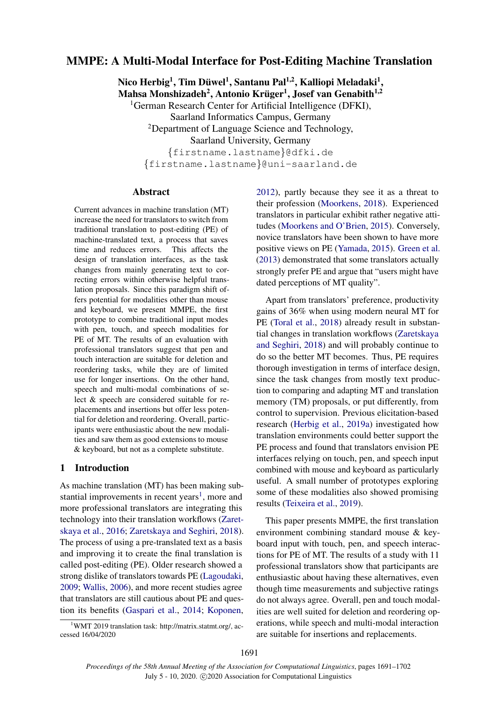# MMPE: A Multi-Modal Interface for Post-Editing Machine Translation

Nico Herbig<sup>1</sup>, Tim Düwel<sup>1</sup>, Santanu Pal<sup>1,2</sup>, Kalliopi Meladaki<sup>1</sup>, Mahsa Monshizadeh<sup>2</sup>, Antonio Krüger<sup>1</sup>, Josef van Genabith<sup>1,2</sup> <sup>1</sup>German Research Center for Artificial Intelligence (DFKI), Saarland Informatics Campus, Germany <sup>2</sup>Department of Language Science and Technology, Saarland University, Germany {firstname.lastname}@dfki.de {firstname.lastname}@uni-saarland.de

# Abstract

Current advances in machine translation (MT) increase the need for translators to switch from traditional translation to post-editing (PE) of machine-translated text, a process that saves time and reduces errors. This affects the design of translation interfaces, as the task changes from mainly generating text to correcting errors within otherwise helpful translation proposals. Since this paradigm shift offers potential for modalities other than mouse and keyboard, we present MMPE, the first prototype to combine traditional input modes with pen, touch, and speech modalities for PE of MT. The results of an evaluation with professional translators suggest that pen and touch interaction are suitable for deletion and reordering tasks, while they are of limited use for longer insertions. On the other hand, speech and multi-modal combinations of select & speech are considered suitable for replacements and insertions but offer less potential for deletion and reordering. Overall, participants were enthusiastic about the new modalities and saw them as good extensions to mouse & keyboard, but not as a complete substitute.

# 1 Introduction

As machine translation (MT) has been making sub-stantial improvements in recent years<sup>[1](#page-0-0)</sup>, more and more professional translators are integrating this technology into their translation workflows [\(Zaret](#page-10-0)[skaya et al.,](#page-10-0) [2016;](#page-10-0) [Zaretskaya and Seghiri,](#page-10-1) [2018\)](#page-10-1). The process of using a pre-translated text as a basis and improving it to create the final translation is called post-editing (PE). Older research showed a strong dislike of translators towards PE [\(Lagoudaki,](#page-9-0) [2009;](#page-9-0) [Wallis,](#page-10-2) [2006\)](#page-10-2), and more recent studies agree that translators are still cautious about PE and question its benefits [\(Gaspari et al.,](#page-9-1) [2014;](#page-9-1) [Koponen,](#page-9-2)

<span id="page-0-0"></span><sup>1</sup>WMT 2019 translation task: http://matrix.statmt.org/, accessed 16/04/2020

[2012\)](#page-9-2), partly because they see it as a threat to their profession [\(Moorkens,](#page-10-3) [2018\)](#page-10-3). Experienced translators in particular exhibit rather negative attitudes [\(Moorkens and O'Brien,](#page-10-4) [2015\)](#page-10-4). Conversely, novice translators have been shown to have more positive views on PE [\(Yamada,](#page-10-5) [2015\)](#page-10-5). [Green et al.](#page-9-3) [\(2013\)](#page-9-3) demonstrated that some translators actually strongly prefer PE and argue that "users might have dated perceptions of MT quality".

Apart from translators' preference, productivity gains of 36% when using modern neural MT for PE [\(Toral et al.,](#page-10-6) [2018\)](#page-10-6) already result in substantial changes in translation workflows [\(Zaretskaya](#page-10-1) [and Seghiri,](#page-10-1) [2018\)](#page-10-1) and will probably continue to do so the better MT becomes. Thus, PE requires thorough investigation in terms of interface design, since the task changes from mostly text production to comparing and adapting MT and translation memory (TM) proposals, or put differently, from control to supervision. Previous elicitation-based research [\(Herbig et al.,](#page-9-4) [2019a\)](#page-9-4) investigated how translation environments could better support the PE process and found that translators envision PE interfaces relying on touch, pen, and speech input combined with mouse and keyboard as particularly useful. A small number of prototypes exploring some of these modalities also showed promising results [\(Teixeira et al.,](#page-10-7) [2019\)](#page-10-7).

This paper presents MMPE, the first translation environment combining standard mouse & keyboard input with touch, pen, and speech interactions for PE of MT. The results of a study with 11 professional translators show that participants are enthusiastic about having these alternatives, even though time measurements and subjective ratings do not always agree. Overall, pen and touch modalities are well suited for deletion and reordering operations, while speech and multi-modal interaction are suitable for insertions and replacements.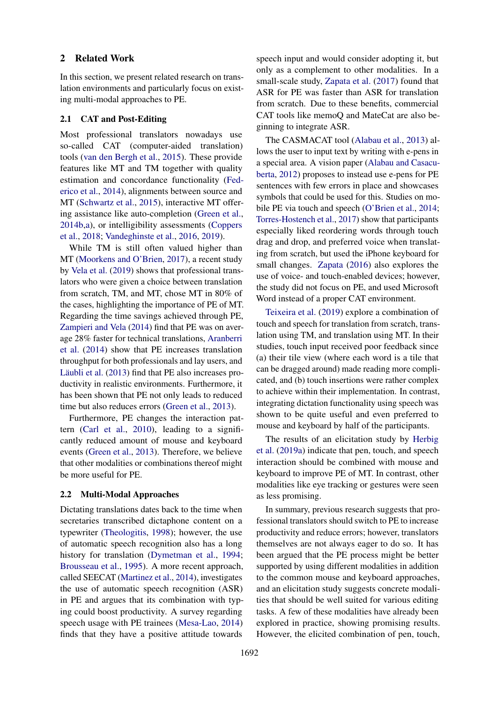### 2 Related Work

In this section, we present related research on translation environments and particularly focus on existing multi-modal approaches to PE.

#### 2.1 CAT and Post-Editing

Most professional translators nowadays use so-called CAT (computer-aided translation) tools [\(van den Bergh et al.,](#page-9-5) [2015\)](#page-9-5). These provide features like MT and TM together with quality estimation and concordance functionality [\(Fed](#page-9-6)[erico et al.,](#page-9-6) [2014\)](#page-9-6), alignments between source and MT [\(Schwartz et al.,](#page-10-8) [2015\)](#page-10-8), interactive MT offering assistance like auto-completion [\(Green et al.,](#page-9-7) [2014b,](#page-9-7)[a\)](#page-9-8), or intelligibility assessments [\(Coppers](#page-9-9) [et al.,](#page-9-9) [2018;](#page-9-9) [Vandeghinste et al.,](#page-10-9) [2016,](#page-10-9) [2019\)](#page-10-10).

While TM is still often valued higher than MT [\(Moorkens and O'Brien,](#page-10-11) [2017\)](#page-10-11), a recent study by [Vela et al.](#page-10-12) [\(2019\)](#page-10-12) shows that professional translators who were given a choice between translation from scratch, TM, and MT, chose MT in 80% of the cases, highlighting the importance of PE of MT. Regarding the time savings achieved through PE, [Zampieri and Vela](#page-10-13) [\(2014\)](#page-10-13) find that PE was on average 28% faster for technical translations, [Aranberri](#page-9-10) [et al.](#page-9-10) [\(2014\)](#page-9-10) show that PE increases translation throughput for both professionals and lay users, and Läubli et al. [\(2013\)](#page-10-14) find that PE also increases productivity in realistic environments. Furthermore, it has been shown that PE not only leads to reduced time but also reduces errors [\(Green et al.,](#page-9-3) [2013\)](#page-9-3).

Furthermore, PE changes the interaction pattern [\(Carl et al.,](#page-9-11) [2010\)](#page-9-11), leading to a significantly reduced amount of mouse and keyboard events [\(Green et al.,](#page-9-3) [2013\)](#page-9-3). Therefore, we believe that other modalities or combinations thereof might be more useful for PE.

#### 2.2 Multi-Modal Approaches

Dictating translations dates back to the time when secretaries transcribed dictaphone content on a typewriter [\(Theologitis,](#page-10-15) [1998\)](#page-10-15); however, the use of automatic speech recognition also has a long history for translation [\(Dymetman et al.,](#page-9-12) [1994;](#page-9-12) [Brousseau et al.,](#page-9-13) [1995\)](#page-9-13). A more recent approach, called SEECAT [\(Martinez et al.,](#page-10-16) [2014\)](#page-10-16), investigates the use of automatic speech recognition (ASR) in PE and argues that its combination with typing could boost productivity. A survey regarding speech usage with PE trainees [\(Mesa-Lao,](#page-10-17) [2014\)](#page-10-17) finds that they have a positive attitude towards

speech input and would consider adopting it, but only as a complement to other modalities. In a small-scale study, [Zapata et al.](#page-10-18) [\(2017\)](#page-10-18) found that ASR for PE was faster than ASR for translation from scratch. Due to these benefits, commercial CAT tools like memoQ and MateCat are also beginning to integrate ASR.

The CASMACAT tool [\(Alabau et al.,](#page-9-14) [2013\)](#page-9-14) allows the user to input text by writing with e-pens in a special area. A vision paper [\(Alabau and Casacu](#page-9-15)[berta,](#page-9-15) [2012\)](#page-9-15) proposes to instead use e-pens for PE sentences with few errors in place and showcases symbols that could be used for this. Studies on mo-bile PE via touch and speech [\(O'Brien et al.,](#page-10-19) [2014;](#page-10-19) [Torres-Hostench et al.,](#page-10-20) [2017\)](#page-10-20) show that participants especially liked reordering words through touch drag and drop, and preferred voice when translating from scratch, but used the iPhone keyboard for small changes. [Zapata](#page-10-21) [\(2016\)](#page-10-21) also explores the use of voice- and touch-enabled devices; however, the study did not focus on PE, and used Microsoft Word instead of a proper CAT environment.

[Teixeira et al.](#page-10-7) [\(2019\)](#page-10-7) explore a combination of touch and speech for translation from scratch, translation using TM, and translation using MT. In their studies, touch input received poor feedback since (a) their tile view (where each word is a tile that can be dragged around) made reading more complicated, and (b) touch insertions were rather complex to achieve within their implementation. In contrast, integrating dictation functionality using speech was shown to be quite useful and even preferred to mouse and keyboard by half of the participants.

The results of an elicitation study by [Herbig](#page-9-4) [et al.](#page-9-4) [\(2019a\)](#page-9-4) indicate that pen, touch, and speech interaction should be combined with mouse and keyboard to improve PE of MT. In contrast, other modalities like eye tracking or gestures were seen as less promising.

In summary, previous research suggests that professional translators should switch to PE to increase productivity and reduce errors; however, translators themselves are not always eager to do so. It has been argued that the PE process might be better supported by using different modalities in addition to the common mouse and keyboard approaches, and an elicitation study suggests concrete modalities that should be well suited for various editing tasks. A few of these modalities have already been explored in practice, showing promising results. However, the elicited combination of pen, touch,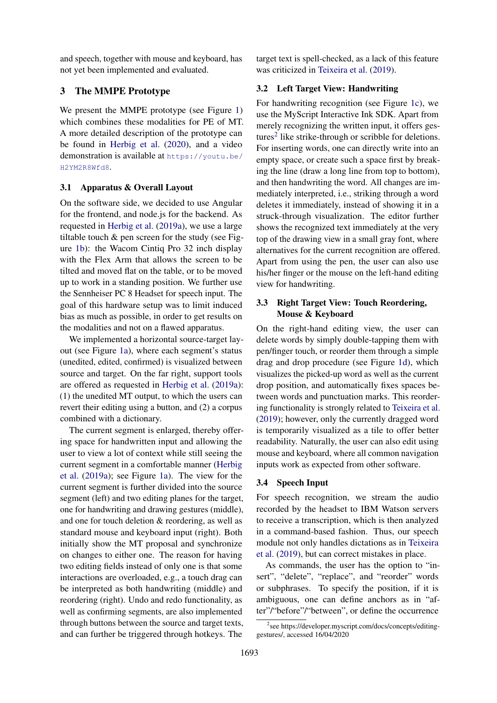and speech, together with mouse and keyboard, has not yet been implemented and evaluated.

# 3 The MMPE Prototype

We present the MMPE prototype (see Figure [1\)](#page-3-0) which combines these modalities for PE of MT. A more detailed description of the prototype can be found in [Herbig et al.](#page-9-16) [\(2020\)](#page-9-16), and a video demonstration is available at [https://youtu.be/](https://youtu.be/H2YM2R8Wfd8) [H2YM2R8Wfd8](https://youtu.be/H2YM2R8Wfd8).

# 3.1 Apparatus & Overall Layout

On the software side, we decided to use Angular for the frontend, and node.js for the backend. As requested in [Herbig et al.](#page-9-4) [\(2019a\)](#page-9-4), we use a large tiltable touch & pen screen for the study (see Figure [1b\)](#page-3-0): the Wacom Cintiq Pro 32 inch display with the Flex Arm that allows the screen to be tilted and moved flat on the table, or to be moved up to work in a standing position. We further use the Sennheiser PC 8 Headset for speech input. The goal of this hardware setup was to limit induced bias as much as possible, in order to get results on the modalities and not on a flawed apparatus.

We implemented a horizontal source-target layout (see Figure [1a\)](#page-3-0), where each segment's status (unedited, edited, confirmed) is visualized between source and target. On the far right, support tools are offered as requested in [Herbig et al.](#page-9-4) [\(2019a\)](#page-9-4): (1) the unedited MT output, to which the users can revert their editing using a button, and (2) a corpus combined with a dictionary.

The current segment is enlarged, thereby offering space for handwritten input and allowing the user to view a lot of context while still seeing the current segment in a comfortable manner [\(Herbig](#page-9-4) [et al.](#page-9-4) [\(2019a\)](#page-9-4); see Figure [1a\)](#page-3-0). The view for the current segment is further divided into the source segment (left) and two editing planes for the target, one for handwriting and drawing gestures (middle), and one for touch deletion & reordering, as well as standard mouse and keyboard input (right). Both initially show the MT proposal and synchronize on changes to either one. The reason for having two editing fields instead of only one is that some interactions are overloaded, e.g., a touch drag can be interpreted as both handwriting (middle) and reordering (right). Undo and redo functionality, as well as confirming segments, are also implemented through buttons between the source and target texts, and can further be triggered through hotkeys. The target text is spell-checked, as a lack of this feature was criticized in [Teixeira et al.](#page-10-7) [\(2019\)](#page-10-7).

# 3.2 Left Target View: Handwriting

For handwriting recognition (see Figure [1c\)](#page-3-0), we use the MyScript Interactive Ink SDK. Apart from merely recognizing the written input, it offers ges-tures<sup>[2](#page-2-0)</sup> like strike-through or scribble for deletions. For inserting words, one can directly write into an empty space, or create such a space first by breaking the line (draw a long line from top to bottom), and then handwriting the word. All changes are immediately interpreted, i.e., striking through a word deletes it immediately, instead of showing it in a struck-through visualization. The editor further shows the recognized text immediately at the very top of the drawing view in a small gray font, where alternatives for the current recognition are offered. Apart from using the pen, the user can also use his/her finger or the mouse on the left-hand editing view for handwriting.

# 3.3 Right Target View: Touch Reordering, Mouse & Keyboard

On the right-hand editing view, the user can delete words by simply double-tapping them with pen/finger touch, or reorder them through a simple drag and drop procedure (see Figure [1d\)](#page-3-0), which visualizes the picked-up word as well as the current drop position, and automatically fixes spaces between words and punctuation marks. This reordering functionality is strongly related to [Teixeira et al.](#page-10-7) [\(2019\)](#page-10-7); however, only the currently dragged word is temporarily visualized as a tile to offer better readability. Naturally, the user can also edit using mouse and keyboard, where all common navigation inputs work as expected from other software.

# 3.4 Speech Input

For speech recognition, we stream the audio recorded by the headset to IBM Watson servers to receive a transcription, which is then analyzed in a command-based fashion. Thus, our speech module not only handles dictations as in [Teixeira](#page-10-7) [et al.](#page-10-7) [\(2019\)](#page-10-7), but can correct mistakes in place.

As commands, the user has the option to "insert", "delete", "replace", and "reorder" words or subphrases. To specify the position, if it is ambiguous, one can define anchors as in "after"/"before"/"between", or define the occurrence

<span id="page-2-0"></span><sup>2</sup> see https://developer.myscript.com/docs/concepts/editinggestures/, accessed 16/04/2020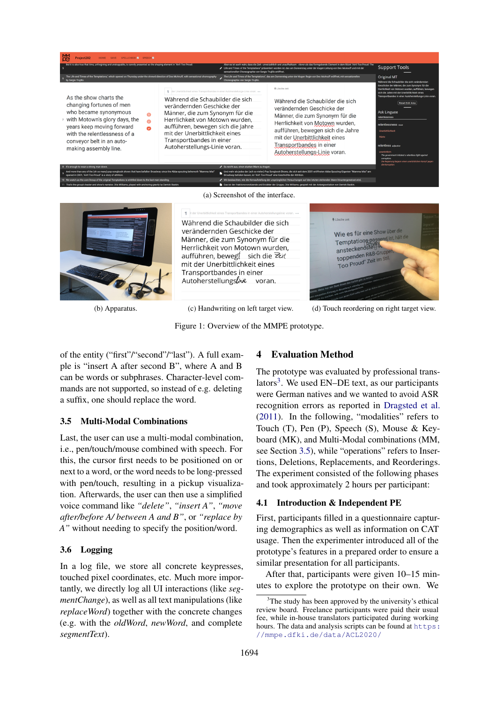<span id="page-3-0"></span>

(b) Apparatus. (c) Handwriting on left target view. (d) Touch reordering on right target view.

Figure 1: Overview of the MMPE prototype.

of the entity ("first"/"second"/"last"). A full example is "insert A after second B", where A and B can be words or subphrases. Character-level commands are not supported, so instead of e.g. deleting a suffix, one should replace the word.

### <span id="page-3-2"></span>3.5 Multi-Modal Combinations

Last, the user can use a multi-modal combination, i.e., pen/touch/mouse combined with speech. For this, the cursor first needs to be positioned on or next to a word, or the word needs to be long-pressed with pen/touch, resulting in a pickup visualization. Afterwards, the user can then use a simplified voice command like *"delete"*, *"insert A"*, *"move after/before A/ between A and B"*, or *"replace by A"* without needing to specify the position/word.

### 3.6 Logging

In a log file, we store all concrete keypresses, touched pixel coordinates, etc. Much more importantly, we directly log all UI interactions (like *segmentChange*), as well as all text manipulations (like *replaceWord*) together with the concrete changes (e.g. with the *oldWord*, *newWord*, and complete *segmentText*).

# 4 Evaluation Method

The prototype was evaluated by professional trans-lators<sup>[3](#page-3-1)</sup>. We used EN-DE text, as our participants were German natives and we wanted to avoid ASR recognition errors as reported in [Dragsted et al.](#page-9-17) [\(2011\)](#page-9-17). In the following, "modalities" refers to Touch (T), Pen (P), Speech (S), Mouse & Keyboard (MK), and Multi-Modal combinations (MM, see Section [3.5\)](#page-3-2), while "operations" refers to Insertions, Deletions, Replacements, and Reorderings. The experiment consisted of the following phases and took approximately 2 hours per participant:

### 4.1 Introduction & Independent PE

First, participants filled in a questionnaire capturing demographics as well as information on CAT usage. Then the experimenter introduced all of the prototype's features in a prepared order to ensure a similar presentation for all participants.

After that, participants were given 10–15 minutes to explore the prototype on their own. We

<span id="page-3-1"></span> $3$ The study has been approved by the university's ethical review board. Freelance participants were paid their usual fee, while in-house translators participated during working hours. The data and analysis scripts can be found at [https:](https://mmpe.dfki.de/data/ACL2020/) [//mmpe.dfki.de/data/ACL2020/](https://mmpe.dfki.de/data/ACL2020/)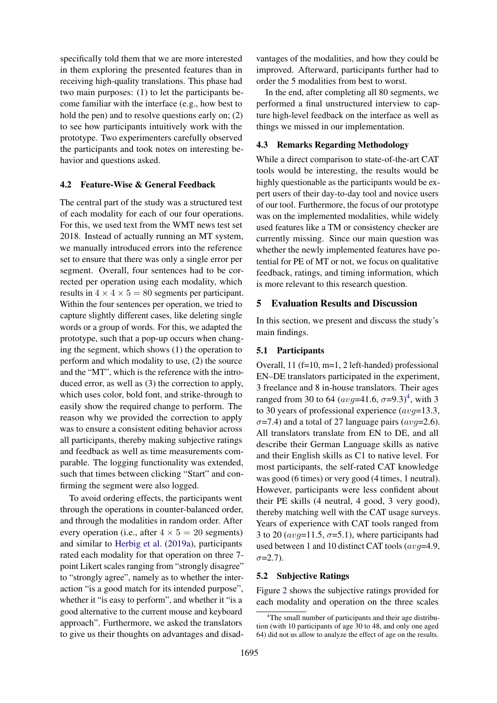specifically told them that we are more interested in them exploring the presented features than in receiving high-quality translations. This phase had two main purposes: (1) to let the participants become familiar with the interface (e.g., how best to hold the pen) and to resolve questions early on; (2) to see how participants intuitively work with the prototype. Two experimenters carefully observed the participants and took notes on interesting behavior and questions asked.

#### <span id="page-4-1"></span>4.2 Feature-Wise & General Feedback

The central part of the study was a structured test of each modality for each of our four operations. For this, we used text from the WMT news test set 2018. Instead of actually running an MT system, we manually introduced errors into the reference set to ensure that there was only a single error per segment. Overall, four sentences had to be corrected per operation using each modality, which results in  $4 \times 4 \times 5 = 80$  segments per participant. Within the four sentences per operation, we tried to capture slightly different cases, like deleting single words or a group of words. For this, we adapted the prototype, such that a pop-up occurs when changing the segment, which shows (1) the operation to perform and which modality to use, (2) the source and the "MT", which is the reference with the introduced error, as well as (3) the correction to apply, which uses color, bold font, and strike-through to easily show the required change to perform. The reason why we provided the correction to apply was to ensure a consistent editing behavior across all participants, thereby making subjective ratings and feedback as well as time measurements comparable. The logging functionality was extended, such that times between clicking "Start" and confirming the segment were also logged.

To avoid ordering effects, the participants went through the operations in counter-balanced order, and through the modalities in random order. After every operation (i.e., after  $4 \times 5 = 20$  segments) and similar to [Herbig et al.](#page-9-4) [\(2019a\)](#page-9-4), participants rated each modality for that operation on three 7 point Likert scales ranging from "strongly disagree" to "strongly agree", namely as to whether the interaction "is a good match for its intended purpose", whether it "is easy to perform", and whether it "is a good alternative to the current mouse and keyboard approach". Furthermore, we asked the translators to give us their thoughts on advantages and disadvantages of the modalities, and how they could be improved. Afterward, participants further had to order the 5 modalities from best to worst.

In the end, after completing all 80 segments, we performed a final unstructured interview to capture high-level feedback on the interface as well as things we missed in our implementation.

# 4.3 Remarks Regarding Methodology

While a direct comparison to state-of-the-art CAT tools would be interesting, the results would be highly questionable as the participants would be expert users of their day-to-day tool and novice users of our tool. Furthermore, the focus of our prototype was on the implemented modalities, while widely used features like a TM or consistency checker are currently missing. Since our main question was whether the newly implemented features have potential for PE of MT or not, we focus on qualitative feedback, ratings, and timing information, which is more relevant to this research question.

## 5 Evaluation Results and Discussion

In this section, we present and discuss the study's main findings.

### 5.1 Participants

Overall, 11 (f=10, m=1, 2 left-handed) professional EN–DE translators participated in the experiment, 3 freelance and 8 in-house translators. Their ages ranged from 30 to 6[4](#page-4-0)  $(\text{avg}=41.6, \sigma=9.3)^4$ , with 3 to 30 years of professional experience  $(avg=13.3,$  $\sigma$ =7.4) and a total of 27 language pairs (avq=2.6). All translators translate from EN to DE, and all describe their German Language skills as native and their English skills as C1 to native level. For most participants, the self-rated CAT knowledge was good (6 times) or very good (4 times, 1 neutral). However, participants were less confident about their PE skills (4 neutral, 4 good, 3 very good), thereby matching well with the CAT usage surveys. Years of experience with CAT tools ranged from 3 to 20 ( $avg=11.5$ ,  $\sigma=5.1$ ), where participants had used between 1 and 10 distinct CAT tools ( $avg=4.9$ ,  $\sigma = 2.7$ ).

#### 5.2 Subjective Ratings

Figure [2](#page-6-0) shows the subjective ratings provided for each modality and operation on the three scales

<span id="page-4-0"></span><sup>&</sup>lt;sup>4</sup>The small number of participants and their age distribution (with 10 participants of age 30 to 48, and only one aged 64) did not us allow to analyze the effect of age on the results.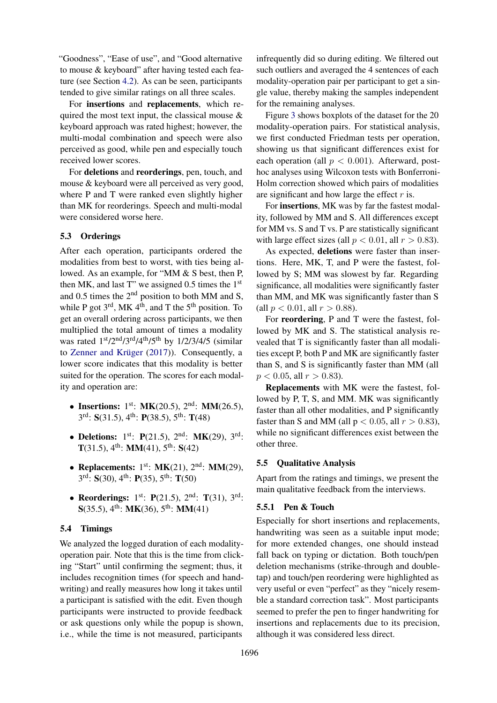"Goodness", "Ease of use", and "Good alternative to mouse & keyboard" after having tested each feature (see Section [4.2\)](#page-4-1). As can be seen, participants tended to give similar ratings on all three scales.

For insertions and replacements, which required the most text input, the classical mouse  $\&$ keyboard approach was rated highest; however, the multi-modal combination and speech were also perceived as good, while pen and especially touch received lower scores.

For deletions and reorderings, pen, touch, and mouse & keyboard were all perceived as very good, where P and T were ranked even slightly higher than MK for reorderings. Speech and multi-modal were considered worse here.

### 5.3 Orderings

After each operation, participants ordered the modalities from best to worst, with ties being allowed. As an example, for "MM & S best, then P, then MK, and last T" we assigned  $0.5$  times the  $1<sup>st</sup>$ and 0.5 times the 2nd position to both MM and S, while P got  $3^{rd}$ , MK  $4^{th}$ , and T the  $5^{th}$  position. To get an overall ordering across participants, we then multiplied the total amount of times a modality was rated  $1<sup>st</sup>/2<sup>nd</sup>/3<sup>rd</sup>/4<sup>th</sup>/5<sup>th</sup>$  by  $1/2/3/4/5$  (similar to Zenner and Krüger [\(2017\)](#page-11-0)). Consequently, a lower score indicates that this modality is better suited for the operation. The scores for each modality and operation are:

- Insertions:  $1^{st}$ : MK(20.5),  $2^{nd}$ : MM(26.5),  $3<sup>rd</sup>$ : **S**(31.5), 4<sup>th</sup>: **P**(38.5), 5<sup>th</sup>: **T**(48)
- Deletions:  $1^{st}$ : P(21.5),  $2^{nd}$ : MK(29),  $3^{rd}$ :  $T(31.5), 4<sup>th</sup>: MM(41), 5<sup>th</sup>: S(42)$
- Replacements:  $1<sup>st</sup>$ : MK(21),  $2<sup>nd</sup>$ : MM(29),  $3<sup>rd</sup>$ : **S**(30), 4<sup>th</sup>: **P**(35), 5<sup>th</sup>: **T**(50)
- Reorderings:  $1^{st}$ : P(21.5),  $2^{nd}$ : T(31),  $3^{rd}$ :  $S(35.5), 4<sup>th</sup>: MK(36), 5<sup>th</sup>: MM(41)$

### 5.4 Timings

We analyzed the logged duration of each modalityoperation pair. Note that this is the time from clicking "Start" until confirming the segment; thus, it includes recognition times (for speech and handwriting) and really measures how long it takes until a participant is satisfied with the edit. Even though participants were instructed to provide feedback or ask questions only while the popup is shown, i.e., while the time is not measured, participants

infrequently did so during editing. We filtered out such outliers and averaged the 4 sentences of each modality-operation pair per participant to get a single value, thereby making the samples independent for the remaining analyses.

Figure [3](#page-7-0) shows boxplots of the dataset for the 20 modality-operation pairs. For statistical analysis, we first conducted Friedman tests per operation, showing us that significant differences exist for each operation (all  $p < 0.001$ ). Afterward, posthoc analyses using Wilcoxon tests with Bonferroni-Holm correction showed which pairs of modalities are significant and how large the effect  $r$  is.

For insertions, MK was by far the fastest modality, followed by MM and S. All differences except for MM vs. S and T vs. P are statistically significant with large effect sizes (all  $p < 0.01$ , all  $r > 0.83$ ).

As expected, deletions were faster than insertions. Here, MK, T, and P were the fastest, followed by S; MM was slowest by far. Regarding significance, all modalities were significantly faster than MM, and MK was significantly faster than S (all  $p < 0.01$ , all  $r > 0.88$ ).

For reordering, P and T were the fastest, followed by MK and S. The statistical analysis revealed that T is significantly faster than all modalities except P, both P and MK are significantly faster than S, and S is significantly faster than MM (all  $p < 0.05$ , all  $r > 0.83$ ).

Replacements with MK were the fastest, followed by P, T, S, and MM. MK was significantly faster than all other modalities, and P significantly faster than S and MM (all  $p < 0.05$ , all  $r > 0.83$ ), while no significant differences exist between the other three.

### 5.5 Qualitative Analysis

Apart from the ratings and timings, we present the main qualitative feedback from the interviews.

# 5.5.1 Pen & Touch

Especially for short insertions and replacements, handwriting was seen as a suitable input mode; for more extended changes, one should instead fall back on typing or dictation. Both touch/pen deletion mechanisms (strike-through and doubletap) and touch/pen reordering were highlighted as very useful or even "perfect" as they "nicely resemble a standard correction task". Most participants seemed to prefer the pen to finger handwriting for insertions and replacements due to its precision, although it was considered less direct.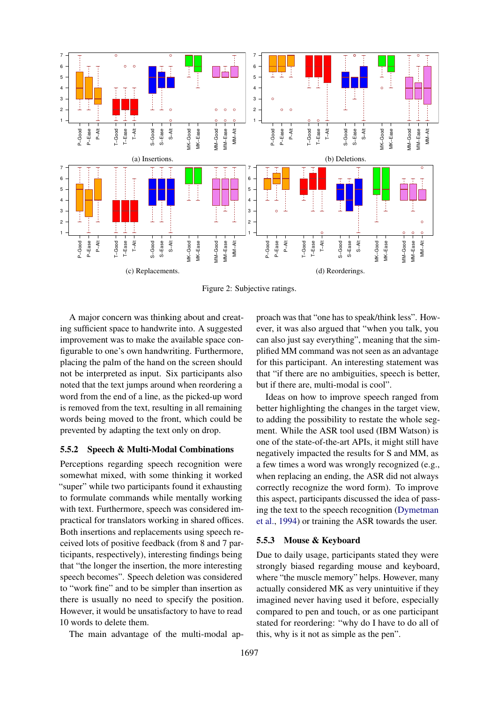<span id="page-6-0"></span>

Figure 2: Subjective ratings.

A major concern was thinking about and creating sufficient space to handwrite into. A suggested improvement was to make the available space configurable to one's own handwriting. Furthermore, placing the palm of the hand on the screen should not be interpreted as input. Six participants also noted that the text jumps around when reordering a word from the end of a line, as the picked-up word is removed from the text, resulting in all remaining words being moved to the front, which could be prevented by adapting the text only on drop.

#### 5.5.2 Speech & Multi-Modal Combinations

Perceptions regarding speech recognition were somewhat mixed, with some thinking it worked "super" while two participants found it exhausting to formulate commands while mentally working with text. Furthermore, speech was considered impractical for translators working in shared offices. Both insertions and replacements using speech received lots of positive feedback (from 8 and 7 participants, respectively), interesting findings being that "the longer the insertion, the more interesting speech becomes". Speech deletion was considered to "work fine" and to be simpler than insertion as there is usually no need to specify the position. However, it would be unsatisfactory to have to read 10 words to delete them.

The main advantage of the multi-modal ap-

proach was that "one has to speak/think less". However, it was also argued that "when you talk, you can also just say everything", meaning that the simplified MM command was not seen as an advantage for this participant. An interesting statement was that "if there are no ambiguities, speech is better, but if there are, multi-modal is cool".

Ideas on how to improve speech ranged from better highlighting the changes in the target view, to adding the possibility to restate the whole segment. While the ASR tool used (IBM Watson) is one of the state-of-the-art APIs, it might still have negatively impacted the results for S and MM, as a few times a word was wrongly recognized (e.g., when replacing an ending, the ASR did not always correctly recognize the word form). To improve this aspect, participants discussed the idea of passing the text to the speech recognition [\(Dymetman](#page-9-12) [et al.,](#page-9-12) [1994\)](#page-9-12) or training the ASR towards the user.

### 5.5.3 Mouse & Keyboard

Due to daily usage, participants stated they were strongly biased regarding mouse and keyboard, where "the muscle memory" helps. However, many actually considered MK as very unintuitive if they imagined never having used it before, especially compared to pen and touch, or as one participant stated for reordering: "why do I have to do all of this, why is it not as simple as the pen".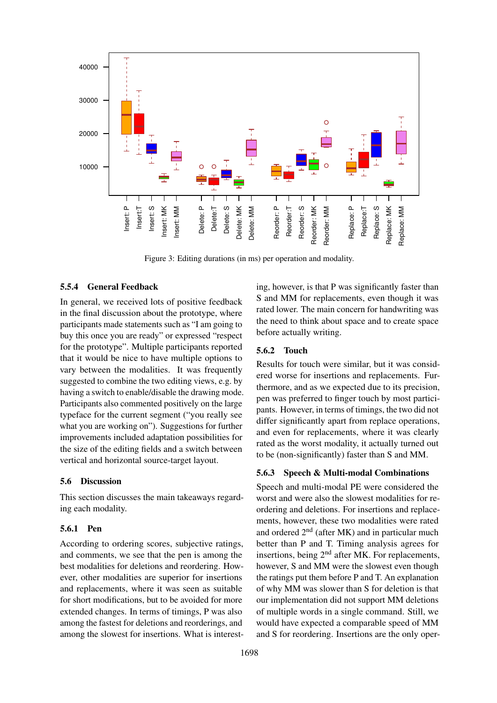<span id="page-7-0"></span>

Figure 3: Editing durations (in ms) per operation and modality.

# 5.5.4 General Feedback

In general, we received lots of positive feedback in the final discussion about the prototype, where participants made statements such as "I am going to buy this once you are ready" or expressed "respect for the prototype". Multiple participants reported that it would be nice to have multiple options to vary between the modalities. It was frequently suggested to combine the two editing views, e.g. by having a switch to enable/disable the drawing mode. Participants also commented positively on the large typeface for the current segment ("you really see what you are working on"). Suggestions for further improvements included adaptation possibilities for the size of the editing fields and a switch between vertical and horizontal source-target layout.

### 5.6 Discussion

This section discusses the main takeaways regarding each modality.

# 5.6.1 Pen

According to ordering scores, subjective ratings, and comments, we see that the pen is among the best modalities for deletions and reordering. However, other modalities are superior for insertions and replacements, where it was seen as suitable for short modifications, but to be avoided for more extended changes. In terms of timings, P was also among the fastest for deletions and reorderings, and among the slowest for insertions. What is interesting, however, is that P was significantly faster than S and MM for replacements, even though it was rated lower. The main concern for handwriting was the need to think about space and to create space before actually writing.

# 5.6.2 Touch

Results for touch were similar, but it was considered worse for insertions and replacements. Furthermore, and as we expected due to its precision, pen was preferred to finger touch by most participants. However, in terms of timings, the two did not differ significantly apart from replace operations, and even for replacements, where it was clearly rated as the worst modality, it actually turned out to be (non-significantly) faster than S and MM.

### 5.6.3 Speech & Multi-modal Combinations

Speech and multi-modal PE were considered the worst and were also the slowest modalities for reordering and deletions. For insertions and replacements, however, these two modalities were rated and ordered  $2<sup>nd</sup>$  (after MK) and in particular much better than P and T. Timing analysis agrees for insertions, being 2<sup>nd</sup> after MK. For replacements, however, S and MM were the slowest even though the ratings put them before P and T. An explanation of why MM was slower than S for deletion is that our implementation did not support MM deletions of multiple words in a single command. Still, we would have expected a comparable speed of MM and S for reordering. Insertions are the only oper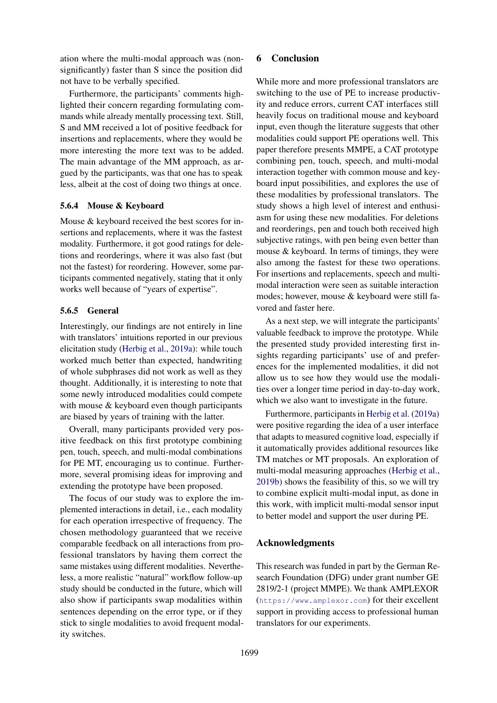ation where the multi-modal approach was (nonsignificantly) faster than S since the position did not have to be verbally specified.

Furthermore, the participants' comments highlighted their concern regarding formulating commands while already mentally processing text. Still, S and MM received a lot of positive feedback for insertions and replacements, where they would be more interesting the more text was to be added. The main advantage of the MM approach, as argued by the participants, was that one has to speak less, albeit at the cost of doing two things at once.

# 5.6.4 Mouse & Keyboard

Mouse & keyboard received the best scores for insertions and replacements, where it was the fastest modality. Furthermore, it got good ratings for deletions and reorderings, where it was also fast (but not the fastest) for reordering. However, some participants commented negatively, stating that it only works well because of "years of expertise".

# 5.6.5 General

Interestingly, our findings are not entirely in line with translators' intuitions reported in our previous elicitation study [\(Herbig et al.,](#page-9-4) [2019a\)](#page-9-4): while touch worked much better than expected, handwriting of whole subphrases did not work as well as they thought. Additionally, it is interesting to note that some newly introduced modalities could compete with mouse & keyboard even though participants are biased by years of training with the latter.

Overall, many participants provided very positive feedback on this first prototype combining pen, touch, speech, and multi-modal combinations for PE MT, encouraging us to continue. Furthermore, several promising ideas for improving and extending the prototype have been proposed.

The focus of our study was to explore the implemented interactions in detail, i.e., each modality for each operation irrespective of frequency. The chosen methodology guaranteed that we receive comparable feedback on all interactions from professional translators by having them correct the same mistakes using different modalities. Nevertheless, a more realistic "natural" workflow follow-up study should be conducted in the future, which will also show if participants swap modalities within sentences depending on the error type, or if they stick to single modalities to avoid frequent modality switches.

# 6 Conclusion

While more and more professional translators are switching to the use of PE to increase productivity and reduce errors, current CAT interfaces still heavily focus on traditional mouse and keyboard input, even though the literature suggests that other modalities could support PE operations well. This paper therefore presents MMPE, a CAT prototype combining pen, touch, speech, and multi-modal interaction together with common mouse and keyboard input possibilities, and explores the use of these modalities by professional translators. The study shows a high level of interest and enthusiasm for using these new modalities. For deletions and reorderings, pen and touch both received high subjective ratings, with pen being even better than mouse & keyboard. In terms of timings, they were also among the fastest for these two operations. For insertions and replacements, speech and multimodal interaction were seen as suitable interaction modes; however, mouse & keyboard were still favored and faster here.

As a next step, we will integrate the participants' valuable feedback to improve the prototype. While the presented study provided interesting first insights regarding participants' use of and preferences for the implemented modalities, it did not allow us to see how they would use the modalities over a longer time period in day-to-day work, which we also want to investigate in the future.

Furthermore, participants in [Herbig et al.](#page-9-4) [\(2019a\)](#page-9-4) were positive regarding the idea of a user interface that adapts to measured cognitive load, especially if it automatically provides additional resources like TM matches or MT proposals. An exploration of multi-modal measuring approaches [\(Herbig et al.,](#page-9-18) [2019b\)](#page-9-18) shows the feasibility of this, so we will try to combine explicit multi-modal input, as done in this work, with implicit multi-modal sensor input to better model and support the user during PE.

#### Acknowledgments

This research was funded in part by the German Research Foundation (DFG) under grant number GE 2819/2-1 (project MMPE). We thank AMPLEXOR (<https://www.amplexor.com>) for their excellent support in providing access to professional human translators for our experiments.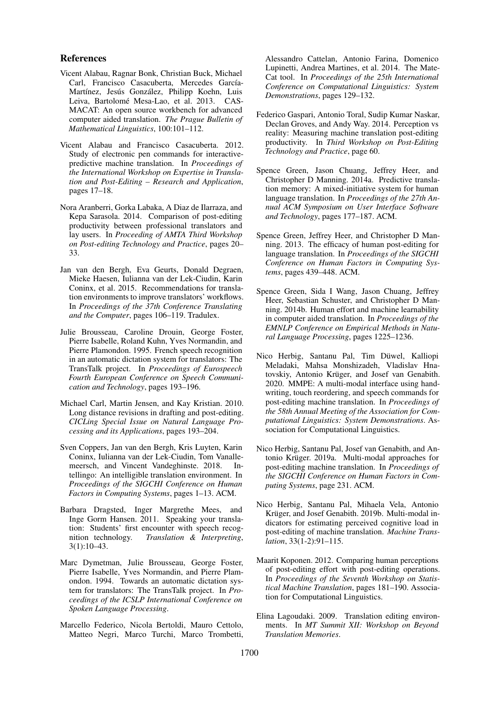#### References

- <span id="page-9-14"></span>Vicent Alabau, Ragnar Bonk, Christian Buck, Michael Carl, Francisco Casacuberta, Mercedes García-Martínez, Jesús González, Philipp Koehn, Luis Leiva, Bartolomé Mesa-Lao, et al. 2013. CAS-MACAT: An open source workbench for advanced computer aided translation. *The Prague Bulletin of Mathematical Linguistics*, 100:101–112.
- <span id="page-9-15"></span>Vicent Alabau and Francisco Casacuberta. 2012. Study of electronic pen commands for interactivepredictive machine translation. In *Proceedings of the International Workshop on Expertise in Translation and Post-Editing – Research and Application*, pages 17–18.
- <span id="page-9-10"></span>Nora Aranberri, Gorka Labaka, A Diaz de Ilarraza, and Kepa Sarasola. 2014. Comparison of post-editing productivity between professional translators and lay users. In *Proceeding of AMTA Third Workshop on Post-editing Technology and Practice*, pages 20– 33.
- <span id="page-9-5"></span>Jan van den Bergh, Eva Geurts, Donald Degraen, Mieke Haesen, Iulianna van der Lek-Ciudin, Karin Coninx, et al. 2015. Recommendations for translation environments to improve translators' workflows. In *Proceedings of the 37th Conference Translating and the Computer*, pages 106–119. Tradulex.
- <span id="page-9-13"></span>Julie Brousseau, Caroline Drouin, George Foster, Pierre Isabelle, Roland Kuhn, Yves Normandin, and Pierre Plamondon. 1995. French speech recognition in an automatic dictation system for translators: The TransTalk project. In *Proceedings of Eurospeech Fourth European Conference on Speech Communication and Technology*, pages 193–196.
- <span id="page-9-11"></span>Michael Carl, Martin Jensen, and Kay Kristian. 2010. Long distance revisions in drafting and post-editing. *CICLing Special Issue on Natural Language Processing and its Applications*, pages 193–204.
- <span id="page-9-9"></span>Sven Coppers, Jan van den Bergh, Kris Luyten, Karin Coninx, Iulianna van der Lek-Ciudin, Tom Vanallemeersch, and Vincent Vandeghinste. 2018. Intellingo: An intelligible translation environment. In *Proceedings of the SIGCHI Conference on Human Factors in Computing Systems*, pages 1–13. ACM.
- <span id="page-9-17"></span>Barbara Dragsted, Inger Margrethe Mees, and Inge Gorm Hansen. 2011. Speaking your translation: Students' first encounter with speech recognition technology. *Translation & Interpreting*, 3(1):10–43.
- <span id="page-9-12"></span>Marc Dymetman, Julie Brousseau, George Foster, Pierre Isabelle, Yves Normandin, and Pierre Plamondon. 1994. Towards an automatic dictation system for translators: The TransTalk project. In *Proceedings of the ICSLP International Conference on Spoken Language Processing*.
- <span id="page-9-6"></span>Marcello Federico, Nicola Bertoldi, Mauro Cettolo, Matteo Negri, Marco Turchi, Marco Trombetti,

Alessandro Cattelan, Antonio Farina, Domenico Lupinetti, Andrea Martines, et al. 2014. The Mate-Cat tool. In *Proceedings of the 25th International Conference on Computational Linguistics: System Demonstrations*, pages 129–132.

- <span id="page-9-1"></span>Federico Gaspari, Antonio Toral, Sudip Kumar Naskar, Declan Groves, and Andy Way. 2014. Perception vs reality: Measuring machine translation post-editing productivity. In *Third Workshop on Post-Editing Technology and Practice*, page 60.
- <span id="page-9-8"></span>Spence Green, Jason Chuang, Jeffrey Heer, and Christopher D Manning. 2014a. Predictive translation memory: A mixed-initiative system for human language translation. In *Proceedings of the 27th Annual ACM Symposium on User Interface Software and Technology*, pages 177–187. ACM.
- <span id="page-9-3"></span>Spence Green, Jeffrey Heer, and Christopher D Manning. 2013. The efficacy of human post-editing for language translation. In *Proceedings of the SIGCHI Conference on Human Factors in Computing Systems*, pages 439–448. ACM.
- <span id="page-9-7"></span>Spence Green, Sida I Wang, Jason Chuang, Jeffrey Heer, Sebastian Schuster, and Christopher D Manning. 2014b. Human effort and machine learnability in computer aided translation. In *Proceedings of the EMNLP Conference on Empirical Methods in Natural Language Processing*, pages 1225–1236.
- <span id="page-9-16"></span>Nico Herbig, Santanu Pal, Tim Düwel, Kalliopi Meladaki, Mahsa Monshizadeh, Vladislav Hnatovskiy, Antonio Krüger, and Josef van Genabith. 2020. MMPE: A multi-modal interface using handwriting, touch reordering, and speech commands for post-editing machine translation. In *Proceedings of the 58th Annual Meeting of the Association for Computational Linguistics: System Demonstrations*. Association for Computational Linguistics.
- <span id="page-9-4"></span>Nico Herbig, Santanu Pal, Josef van Genabith, and Antonio Krüger. 2019a. Multi-modal approaches for post-editing machine translation. In *Proceedings of the SIGCHI Conference on Human Factors in Computing Systems*, page 231. ACM.
- <span id="page-9-18"></span>Nico Herbig, Santanu Pal, Mihaela Vela, Antonio Krüger, and Josef Genabith. 2019b. Multi-modal indicators for estimating perceived cognitive load in post-editing of machine translation. *Machine Translation*, 33(1-2):91–115.
- <span id="page-9-2"></span>Maarit Koponen. 2012. Comparing human perceptions of post-editing effort with post-editing operations. In *Proceedings of the Seventh Workshop on Statistical Machine Translation*, pages 181–190. Association for Computational Linguistics.
- <span id="page-9-0"></span>Elina Lagoudaki. 2009. Translation editing environments. In *MT Summit XII: Workshop on Beyond Translation Memories*.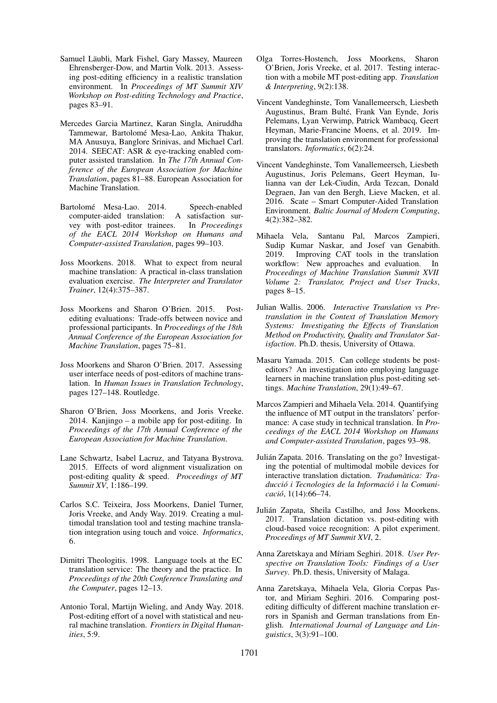- <span id="page-10-14"></span>Samuel Läubli, Mark Fishel, Gary Massey, Maureen Ehrensberger-Dow, and Martin Volk. 2013. Assessing post-editing efficiency in a realistic translation environment. In *Proceedings of MT Summit XIV Workshop on Post-editing Technology and Practice*, pages 83–91.
- <span id="page-10-16"></span>Mercedes Garcia Martinez, Karan Singla, Aniruddha Tammewar, Bartolomé Mesa-Lao, Ankita Thakur, MA Anusuya, Banglore Srinivas, and Michael Carl. 2014. SEECAT: ASR & eye-tracking enabled computer assisted translation. In *The 17th Annual Conference of the European Association for Machine Translation*, pages 81–88. European Association for Machine Translation.
- <span id="page-10-17"></span>Bartolomé Mesa-Lao. 2014. Speech-enabled computer-aided translation: A satisfaction survey with post-editor trainees. In *Proceedings of the EACL 2014 Workshop on Humans and Computer-assisted Translation*, pages 99–103.
- <span id="page-10-3"></span>Joss Moorkens. 2018. What to expect from neural machine translation: A practical in-class translation evaluation exercise. *The Interpreter and Translator Trainer*, 12(4):375–387.
- <span id="page-10-4"></span>Joss Moorkens and Sharon O'Brien. 2015. Postediting evaluations: Trade-offs between novice and professional participants. In *Proceedings of the 18th Annual Conference of the European Association for Machine Translation*, pages 75–81.
- <span id="page-10-11"></span>Joss Moorkens and Sharon O'Brien. 2017. Assessing user interface needs of post-editors of machine translation. In *Human Issues in Translation Technology*, pages 127–148. Routledge.
- <span id="page-10-19"></span>Sharon O'Brien, Joss Moorkens, and Joris Vreeke. 2014. Kanjingo – a mobile app for post-editing. In *Proceedings of the 17th Annual Conference of the European Association for Machine Translation*.
- <span id="page-10-8"></span>Lane Schwartz, Isabel Lacruz, and Tatyana Bystrova. 2015. Effects of word alignment visualization on post-editing quality & speed. *Proceedings of MT Summit XV*, 1:186–199.
- <span id="page-10-7"></span>Carlos S.C. Teixeira, Joss Moorkens, Daniel Turner, Joris Vreeke, and Andy Way. 2019. Creating a multimodal translation tool and testing machine translation integration using touch and voice. *Informatics*, 6.
- <span id="page-10-15"></span>Dimitri Theologitis. 1998. Language tools at the EC translation service: The theory and the practice. In *Proceedings of the 20th Conference Translating and the Computer*, pages 12–13.
- <span id="page-10-6"></span>Antonio Toral, Martijn Wieling, and Andy Way. 2018. Post-editing effort of a novel with statistical and neural machine translation. *Frontiers in Digital Humanities*, 5:9.
- <span id="page-10-20"></span>Olga Torres-Hostench, Joss Moorkens, Sharon O'Brien, Joris Vreeke, et al. 2017. Testing interaction with a mobile MT post-editing app. *Translation & Interpreting*, 9(2):138.
- <span id="page-10-10"></span>Vincent Vandeghinste, Tom Vanallemeersch, Liesbeth Augustinus, Bram Bulté, Frank Van Eynde, Joris Pelemans, Lyan Verwimp, Patrick Wambacq, Geert Heyman, Marie-Francine Moens, et al. 2019. Improving the translation environment for professional translators. *Informatics*, 6(2):24.
- <span id="page-10-9"></span>Vincent Vandeghinste, Tom Vanallemeersch, Liesbeth Augustinus, Joris Pelemans, Geert Heyman, Iulianna van der Lek-Ciudin, Arda Tezcan, Donald Degraen, Jan van den Bergh, Lieve Macken, et al. 2016. Scate – Smart Computer-Aided Translation Environment. *Baltic Journal of Modern Computing*, 4(2):382–382.
- <span id="page-10-12"></span>Mihaela Vela, Santanu Pal, Marcos Zampieri, Sudip Kumar Naskar, and Josef van Genabith. 2019. Improving CAT tools in the translation workflow: New approaches and evaluation. In *Proceedings of Machine Translation Summit XVII Volume 2: Translator, Project and User Tracks*, pages 8–15.
- <span id="page-10-2"></span>Julian Wallis. 2006. *Interactive Translation vs Pretranslation in the Context of Translation Memory Systems: Investigating the Effects of Translation Method on Productivity, Quality and Translator Satisfaction*. Ph.D. thesis, University of Ottawa.
- <span id="page-10-5"></span>Masaru Yamada. 2015. Can college students be posteditors? An investigation into employing language learners in machine translation plus post-editing settings. *Machine Translation*, 29(1):49–67.
- <span id="page-10-13"></span>Marcos Zampieri and Mihaela Vela. 2014. Quantifying the influence of MT output in the translators' performance: A case study in technical translation. In *Proceedings of the EACL 2014 Workshop on Humans and Computer-assisted Translation*, pages 93–98.
- <span id="page-10-21"></span>Julian Zapata. 2016. Translating on the go? Investigat- ´ ing the potential of multimodal mobile devices for interactive translation dictation. *Tradumatica: Tra- ` duccio i Tecnologies de la Informaci ´ o i la Comuni- ´ cacio´*, 1(14):66–74.
- <span id="page-10-18"></span>Julian Zapata, Sheila Castilho, and Joss Moorkens. ´ 2017. Translation dictation vs. post-editing with cloud-based voice recognition: A pilot experiment. *Proceedings of MT Summit XVI*, 2.
- <span id="page-10-1"></span>Anna Zaretskaya and Míriam Seghiri. 2018. *User Perspective on Translation Tools: Findings of a User Survey*. Ph.D. thesis, University of Malaga.
- <span id="page-10-0"></span>Anna Zaretskaya, Mihaela Vela, Gloria Corpas Pastor, and Miriam Seghiri. 2016. Comparing postediting difficulty of different machine translation errors in Spanish and German translations from English. *International Journal of Language and Linguistics*, 3(3):91–100.